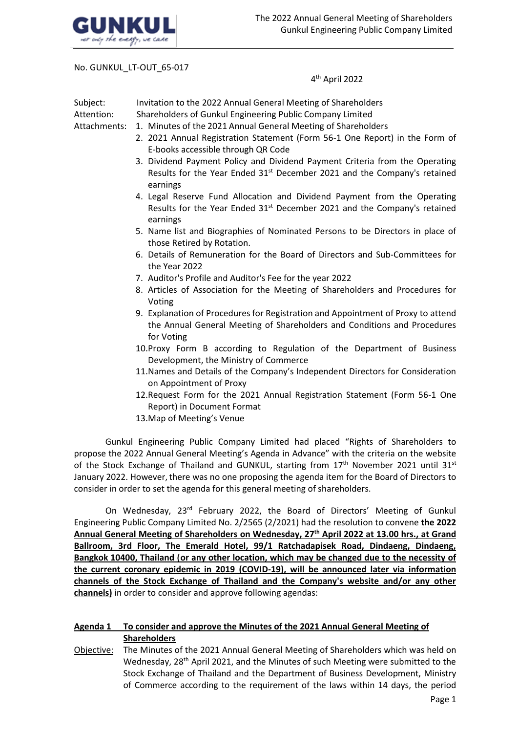

No. GUNKUL\_LT-OUT\_65-017

4 th April 2022

| Subject:<br>Attention:<br>Attachments: | Invitation to the 2022 Annual General Meeting of Shareholders<br>Shareholders of Gunkul Engineering Public Company Limited<br>1. Minutes of the 2021 Annual General Meeting of Shareholders<br>2. 2021 Annual Registration Statement (Form 56-1 One Report) in the Form of<br>E-books accessible through QR Code<br>3. Dividend Payment Policy and Dividend Payment Criteria from the Operating |
|----------------------------------------|-------------------------------------------------------------------------------------------------------------------------------------------------------------------------------------------------------------------------------------------------------------------------------------------------------------------------------------------------------------------------------------------------|
|                                        | Results for the Year Ended 31 <sup>st</sup> December 2021 and the Company's retained<br>earnings                                                                                                                                                                                                                                                                                                |
|                                        | 4. Legal Reserve Fund Allocation and Dividend Payment from the Operating<br>Results for the Year Ended 31 <sup>st</sup> December 2021 and the Company's retained<br>earnings                                                                                                                                                                                                                    |
|                                        | 5. Name list and Biographies of Nominated Persons to be Directors in place of<br>those Retired by Rotation.                                                                                                                                                                                                                                                                                     |
|                                        | 6. Details of Remuneration for the Board of Directors and Sub-Committees for<br>the Year 2022                                                                                                                                                                                                                                                                                                   |
|                                        | 7. Auditor's Profile and Auditor's Fee for the year 2022                                                                                                                                                                                                                                                                                                                                        |
|                                        | 8. Articles of Association for the Meeting of Shareholders and Procedures for<br>Voting                                                                                                                                                                                                                                                                                                         |
|                                        | 9. Explanation of Procedures for Registration and Appointment of Proxy to attend<br>the Annual General Meeting of Shareholders and Conditions and Procedures<br>for Voting                                                                                                                                                                                                                      |
|                                        | 10. Proxy Form B according to Regulation of the Department of Business<br>Development, the Ministry of Commerce                                                                                                                                                                                                                                                                                 |
|                                        | 11. Names and Details of the Company's Independent Directors for Consideration<br>on Appointment of Proxy                                                                                                                                                                                                                                                                                       |
|                                        | 12. Request Form for the 2021 Annual Registration Statement (Form 56-1 One<br>Report) in Document Format                                                                                                                                                                                                                                                                                        |
|                                        | 13. Map of Meeting's Venue                                                                                                                                                                                                                                                                                                                                                                      |

Gunkul Engineering Public Company Limited had placed "Rights of Shareholders to propose the 2022 Annual General Meeting's Agenda in Advance" with the criteria on the website of the Stock Exchange of Thailand and GUNKUL, starting from  $17<sup>th</sup>$  November 2021 until 31st January 2022. However,there was no one proposing the agenda item for the Board of Directors to consider in order to set the agenda for this general meeting of shareholders.

On Wednesday, 23<sup>rd</sup> February 2022, the Board of Directors' Meeting of Gunkul Engineering Public Company Limited No. 2/2565 (2/2021) had the resolution to convene **the 2022 Annual General Meeting of Shareholders on Wednesday, 27th April 2022 at 13.00 hrs., at Grand Ballroom, 3rd Floor, The Emerald Hotel, 99/1 Ratchadapisek Road, Dindaeng, Dindaeng, Bangkok 10400, Thailand** (**or any other location, which may be changed due to the necessity of the current coronary epidemic in 2019 (COVID-19), will be announced later via information channels of the Stock Exchange of Thailand and the Company's website and/or any other channels)** in order to consider and approve following agendas:

# **Agenda 1 To consider and approve the Minutes of the 2021 Annual General Meeting of Shareholders**

Objective: The Minutes of the 2021 Annual General Meeting of Shareholders which was held on Wednesday, 28<sup>th</sup> April 2021, and the Minutes of such Meeting were submitted to the Stock Exchange of Thailand and the Department of Business Development, Ministry of Commerce according to the requirement of the laws within 14 days, the period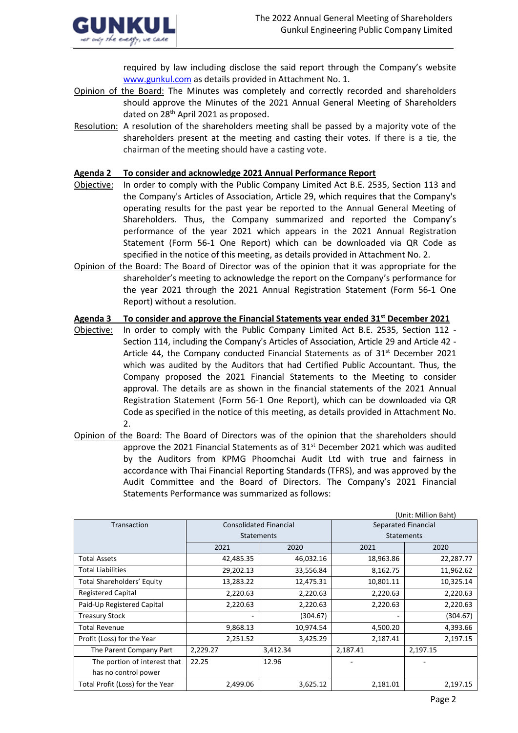

required by law including disclose the said report through the Company's website [www.gunkul.com](http://www.gunkul.com/) as details provided in Attachment No. 1.

- Opinion of the Board: The Minutes was completely and correctly recorded and shareholders should approve the Minutes of the 2021 Annual General Meeting of Shareholders dated on 28th April 2021 as proposed.
- Resolution: A resolution of the shareholders meeting shall be passed by a majority vote of the shareholders present at the meeting and casting their votes. If there is a tie, the chairman of the meeting should have a casting vote.

### **Agenda 2 To consider and acknowledge 2021 Annual Performance Report**

- Objective: In order to comply with the Public Company Limited Act B.E. 2535, Section 113 and the Company's Articles of Association, Article 29, which requires that the Company's operating results for the past year be reported to the Annual General Meeting of Shareholders. Thus, the Company summarized and reported the Company's performance of the year 2021 which appears in the 2021 Annual Registration Statement (Form 56-1 One Report) which can be downloaded via QR Code as specified in the notice of this meeting, as details provided in Attachment No. 2.
- Opinion of the Board: The Board of Director was of the opinion that it was appropriate for the shareholder's meeting to acknowledge the report on the Company's performance for the year 2021 through the 2021 Annual Registration Statement (Form 56-1 One Report) without a resolution.

**Agenda 3 To consider and approve the Financial Statements year ended 31st December 2021**

- Objective: In order to comply with the Public Company Limited Act B.E. 2535, Section 112 Section 114, including the Company's Articles of Association, Article 29 and Article 42 - Article 44, the Company conducted Financial Statements as of  $31<sup>st</sup>$  December 2021 which was audited by the Auditors that had Certified Public Accountant. Thus, the Company proposed the 2021 Financial Statements to the Meeting to consider approval. The details are as shown in the financial statements of the 2021 Annual Registration Statement (Form 56-1 One Report), which can be downloaded via QR Code as specified in the notice of this meeting, as details provided in Attachment No. 2.
- Opinion of the Board: The Board of Directors was of the opinion that the shareholders should approve the 2021 Financial Statements as of  $31<sup>st</sup>$  December 2021 which was audited by the Auditors from KPMG Phoomchai Audit Ltd with true and fairness in accordance with Thai Financial Reporting Standards (TFRS), and was approved by the Audit Committee and the Board of Directors. The Company's 2021 Financial Statements Performance was summarized as follows:

|                                  |                               |                   |                     | (Unit: Million Baht) |  |
|----------------------------------|-------------------------------|-------------------|---------------------|----------------------|--|
| Transaction                      | <b>Consolidated Financial</b> |                   | Separated Financial |                      |  |
|                                  |                               | <b>Statements</b> | <b>Statements</b>   |                      |  |
|                                  | 2021                          | 2020              | 2021                | 2020                 |  |
| <b>Total Assets</b>              | 42,485.35                     | 46,032.16         | 18,963.86           | 22,287.77            |  |
| <b>Total Liabilities</b>         | 29,202.13                     | 33,556.84         | 8,162.75            | 11,962.62            |  |
| Total Shareholders' Equity       | 13,283.22                     | 12,475.31         | 10,801.11           | 10,325.14            |  |
| <b>Registered Capital</b>        | 2,220.63                      | 2,220.63          | 2,220.63            | 2,220.63             |  |
| Paid-Up Registered Capital       | 2,220.63                      | 2,220.63          | 2,220.63            | 2,220.63             |  |
| <b>Treasury Stock</b>            | ۰                             | (304.67)          | ۰                   | (304.67)             |  |
| <b>Total Revenue</b>             | 9,868.13                      | 10,974.54         | 4,500.20            | 4,393.66             |  |
| Profit (Loss) for the Year       | 2,251.52                      | 3,425.29          | 2,187.41            | 2,197.15             |  |
| The Parent Company Part          | 2,229.27                      | 3,412.34          | 2,187.41            | 2,197.15             |  |
| The portion of interest that     | 22.25                         | 12.96             |                     |                      |  |
| has no control power             |                               |                   |                     |                      |  |
| Total Profit (Loss) for the Year | 2,499.06                      | 3,625.12          | 2,181.01            | 2,197.15             |  |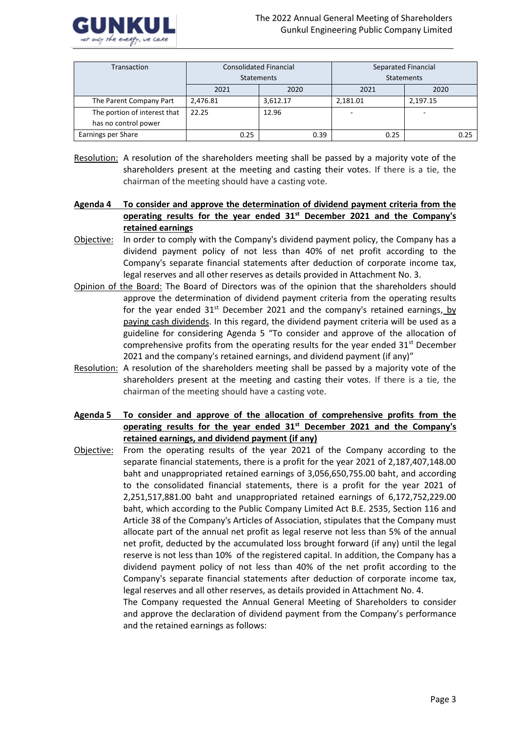

| Transaction                  |          | <b>Consolidated Financial</b> | Separated Financial |          |  |  |
|------------------------------|----------|-------------------------------|---------------------|----------|--|--|
|                              |          | <b>Statements</b>             | Statements          |          |  |  |
|                              | 2021     | 2020                          | 2021                | 2020     |  |  |
| The Parent Company Part      | 2,476.81 | 3,612.17                      | 2,181.01            | 2.197.15 |  |  |
| The portion of interest that | 22.25    | 12.96                         |                     |          |  |  |
| has no control power         |          |                               |                     |          |  |  |
| Earnings per Share           | 0.25     | 0.39                          | 0.25                | 0.25     |  |  |

- Resolution: A resolution of the shareholders meeting shall be passed by a majority vote of the shareholders present at the meeting and casting their votes. If there is a tie, the chairman of the meeting should have a casting vote.
- **Agenda 4 To consider and approve the determination of dividend payment criteria from the operating results for the year ended 31st December 2021 and the Company's retained earnings**
- Objective: In order to comply with the Company's dividend payment policy, the Company has a dividend payment policy of not less than 40% of net profit according to the Company's separate financial statements after deduction of corporate income tax, legal reserves and all other reserves as details provided in Attachment No. 3.
- Opinion of the Board: The Board of Directors was of the opinion that the shareholders should approve the determination of dividend payment criteria from the operating results for the year ended  $31<sup>st</sup>$  December 2021 and the company's retained earnings, by paying cash dividends. In this regard, the dividend payment criteria will be used as a guideline for considering Agenda 5 "To consider and approve of the allocation of comprehensive profits from the operating results for the year ended  $31<sup>st</sup>$  December 2021 and the company's retained earnings, and dividend payment (if any)"
- Resolution: A resolution of the shareholders meeting shall be passed by a majority vote of the shareholders present at the meeting and casting their votes. If there is a tie, the chairman of the meeting should have a casting vote.
- **Agenda 5 To consider and approve of the allocation of comprehensive profits from the operating results for the year ended 31st December 2021 and the Company's retained earnings, and dividend payment (if any)**

Objective: From the operating results of the year 2021 of the Company according to the separate financial statements, there is a profit for the year 2021 of 2,187,407,148.00 baht and unappropriated retained earnings of 3,056,650,755.00 baht, and according to the consolidated financial statements, there is a profit for the year 2021 of 2,251,517,881.00 baht and unappropriated retained earnings of 6,172,752,229.00 baht, which according to the Public Company Limited Act B.E. 2535, Section 116 and Article 38 of the Company's Articles of Association, stipulates that the Company must allocate part of the annual net profit as legal reserve not less than 5% of the annual net profit, deducted by the accumulated loss brought forward (if any) until the legal reserve is not less than 10% of the registered capital. In addition, the Company has a dividend payment policy of not less than 40% of the net profit according to the Company's separate financial statements after deduction of corporate income tax, legal reserves and all other reserves, as details provided in Attachment No. 4.

The Company requested the Annual General Meeting of Shareholders to consider and approve the declaration of dividend payment from the Company's performance and the retained earnings as follows: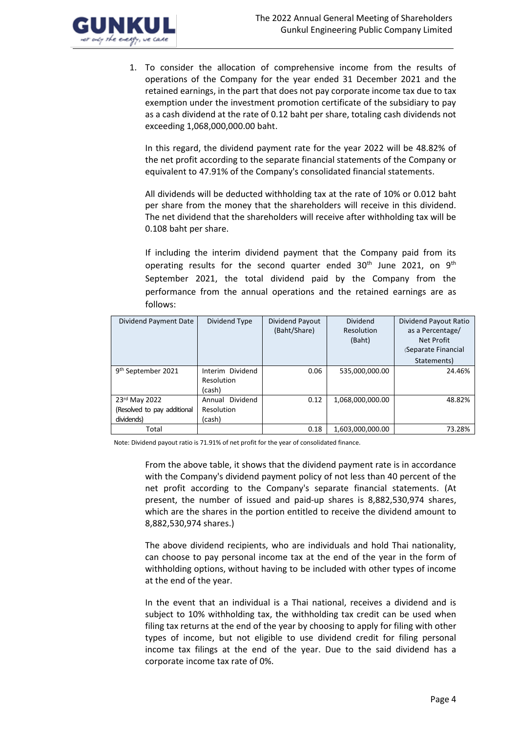

1. To consider the allocation of comprehensive income from the results of operations of the Company for the year ended 31 December 2021 and the retained earnings, in the part that does not pay corporate income tax due to tax exemption under the investment promotion certificate of the subsidiary to pay as a cash dividend at the rate of 0.12 baht per share, totaling cash dividends not exceeding 1,068,000,000.00 baht.

In this regard, the dividend payment rate for the year 2022 will be 48.82% of the net profit according to the separate financial statements of the Company or equivalent to 47.91% of the Company's consolidated financial statements.

All dividends will be deducted withholding tax at the rate of 10% or 0.012 baht per share from the money that the shareholders will receive in this dividend. The net dividend that the shareholders will receive after withholding tax will be 0.108 baht per share.

If including the interim dividend payment that the Company paid from its operating results for the second quarter ended 30<sup>th</sup> June 2021, on 9<sup>th</sup> September 2021, the total dividend paid by the Company from the performance from the annual operations and the retained earnings are as follows:

| Dividend Payment Date                                      | Dividend Type                            | Dividend Payout<br>(Baht/Share) | <b>Dividend</b><br>Resolution<br>(Baht) | Dividend Payout Ratio<br>as a Percentage/<br>Net Profit<br>(Separate Financial<br>Statements) |
|------------------------------------------------------------|------------------------------------------|---------------------------------|-----------------------------------------|-----------------------------------------------------------------------------------------------|
| 9 <sup>th</sup> September 2021                             | Interim Dividend<br>Resolution<br>(cash) | 0.06                            | 535,000,000.00                          | 24.46%                                                                                        |
| 23rd May 2022<br>(Resolved to pay additional<br>dividends) | Annual Dividend<br>Resolution<br>(cash)  | 0.12                            | 1,068,000,000.00                        | 48.82%                                                                                        |
| Total                                                      |                                          | 0.18                            | 1.603.000.000.00                        | 73.28%                                                                                        |

Note: Dividend payout ratio is 71.91% of net profit for the year of consolidated finance.

From the above table, it shows that the dividend payment rate is in accordance with the Company's dividend payment policy of not less than 40 percent of the net profit according to the Company's separate financial statements. (At present, the number of issued and paid-up shares is 8,882,530,974 shares, which are the shares in the portion entitled to receive the dividend amount to 8,882,530,974 shares.)

The above dividend recipients, who are individuals and hold Thai nationality, can choose to pay personal income tax at the end of the year in the form of withholding options, without having to be included with other types of income at the end of the year.

In the event that an individual is a Thai national, receives a dividend and is subject to 10% withholding tax, the withholding tax credit can be used when filing tax returns at the end of the year by choosing to apply for filing with other types of income, but not eligible to use dividend credit for filing personal income tax filings at the end of the year. Due to the said dividend has a corporate income tax rate of 0%.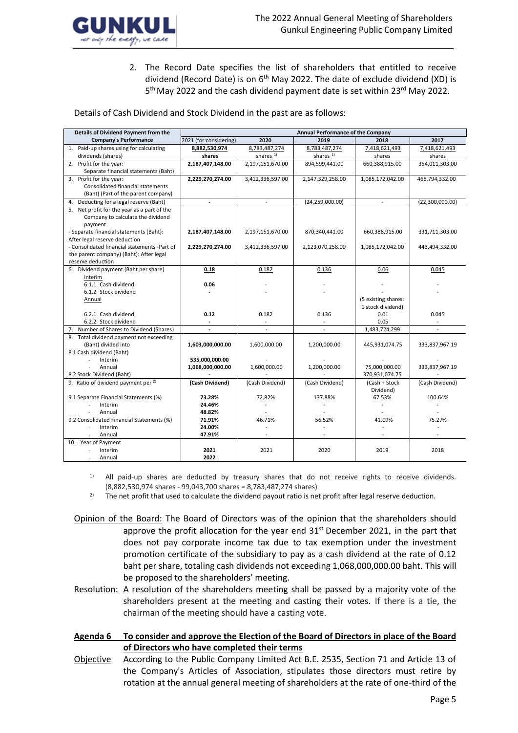

2. The Record Date specifies the list of shareholders that entitled to receive dividend (Record Date) is on 6<sup>th</sup> May 2022. The date of exclude dividend (XD) is 5<sup>th</sup> May 2022 and the cash dividend payment date is set within 23<sup>rd</sup> May 2022.

Details of Cash Dividend and Stock Dividend in the past are as follows:

| Details of Dividend Payment from the           |                        |                          | Annual Performance of the Company |                     |                          |
|------------------------------------------------|------------------------|--------------------------|-----------------------------------|---------------------|--------------------------|
| Company's Performance                          | 2021 (for considering) | 2020                     | 2019                              | 2018                | 2017                     |
| 1. Paid-up shares using for calculating        | 8,882,530,974          | 8,783,487,274            | 8,783,487,274                     | 7,418,621,493       | 7,418,621,493            |
| dividends (shares)                             | shares                 | shares <sup>1)</sup>     | shares <sup>1)</sup>              | shares              | shares                   |
| 2. Profit for the year:                        | 2,187,407,148.00       | 2,197,151,670.00         | 894,599,441.00                    | 660,388,915.00      | 354,011,303.00           |
| Separate financial statements (Baht)           |                        |                          |                                   |                     |                          |
| 3. Profit for the year:                        | 2,229,270,274.00       | 3,412,336,597.00         | 2,147,329,258.00                  | 1,085,172,042.00    | 465,794,332.00           |
| Consolidated financial statements              |                        |                          |                                   |                     |                          |
| (Baht) (Part of the parent company)            |                        |                          |                                   |                     |                          |
| Deducting for a legal reserve (Baht)<br>4.     |                        |                          | (24, 259, 000.00)                 | $\mathcal{L}$       | (22,300,000.00)          |
| 5. Net profit for the year as a part of the    |                        |                          |                                   |                     |                          |
| Company to calculate the dividend              |                        |                          |                                   |                     |                          |
| payment                                        |                        |                          |                                   |                     |                          |
| - Separate financial statements (Baht):        | 2,187,407,148.00       | 2,197,151,670.00         | 870,340,441.00                    | 660,388,915.00      | 331,711,303.00           |
| After legal reserve deduction                  |                        |                          |                                   |                     |                          |
| - Consolidated financial statements -Part of   | 2,229,270,274.00       | 3,412,336,597.00         | 2,123,070,258.00                  | 1,085,172,042.00    | 443,494,332.00           |
| the parent company) (Baht): After legal        |                        |                          |                                   |                     |                          |
| reserve deduction                              |                        |                          |                                   |                     |                          |
| 6. Dividend payment (Baht per share)           | 0.18                   | 0.182                    | 0.136                             | 0.06                | 0.045                    |
| Interim<br>6.1.1 Cash dividend                 |                        |                          |                                   |                     |                          |
| 6.1.2 Stock dividend                           | 0.06                   |                          |                                   |                     |                          |
| Annual                                         |                        |                          |                                   | (5 existing shares: |                          |
|                                                |                        |                          |                                   | 1 stock dividend)   |                          |
| 6.2.1 Cash dividend                            | 0.12                   | 0.182                    | 0.136                             | 0.01                | 0.045                    |
| 6.2.2 Stock dividend                           |                        |                          |                                   | 0.05                |                          |
| 7. Number of Shares to Dividend (Shares)       | $\blacksquare$         | $\overline{\phantom{a}}$ | $\overline{\phantom{a}}$          | 1,483,724,299       | $\overline{\phantom{a}}$ |
| 8. Total dividend payment not exceeding        |                        |                          |                                   |                     |                          |
| (Baht) divided into                            | 1,603,000,000.00       | 1,600,000.00             | 1,200,000.00                      | 445,931,074.75      | 333,837,967.19           |
| 8.1 Cash dividend (Baht)                       |                        |                          |                                   |                     |                          |
| Interim                                        | 535,000,000.00         |                          |                                   |                     |                          |
| Annual                                         | 1,068,000,000.00       | 1,600,000.00             | 1,200,000.00                      | 75,000,000.00       | 333,837,967.19           |
| 8.2 Stock Dividend (Baht)                      |                        |                          |                                   | 370,931,074.75      |                          |
| 9. Ratio of dividend payment per <sup>2)</sup> | (Cash Dividend)        | (Cash Dividend)          | (Cash Dividend)                   | (Cash + Stock)      | (Cash Dividend)          |
|                                                |                        |                          |                                   | Dividend)           |                          |
| 9.1 Separate Financial Statements (%)          | 73.28%                 | 72.82%                   | 137.88%                           | 67.53%              | 100.64%                  |
| Interim                                        | 24.46%                 |                          |                                   |                     |                          |
| Annual                                         | 48.82%                 |                          |                                   |                     |                          |
| 9.2 Consolidated Financial Statements (%)      | 71.91%                 | 46.71%                   | 56.52%                            | 41.09%              | 75.27%                   |
| Interim                                        | 24.00%                 |                          |                                   |                     |                          |
| Annual                                         | 47.91%                 |                          |                                   |                     |                          |
| 10. Year of Payment                            |                        |                          |                                   |                     |                          |
| Interim                                        | 2021                   | 2021                     | 2020                              | 2019                | 2018                     |
| Annual                                         | 2022                   |                          |                                   |                     |                          |

- <sup>1)</sup> All paid-up shares are deducted by treasury shares that do not receive rights to receive dividends. (8,882,530,974 shares - 99,043,700 shares = 8,783,487,274 shares)
- <sup>2)</sup> The net profit that used to calculate the dividend payout ratio is net profit after legal reserve deduction.
- Opinion of the Board: The Board of Directors was of the opinion that the shareholders should approve the profit allocation for the year end  $31<sup>st</sup>$  December 2021, in the part that does not pay corporate income tax due to tax exemption under the investment promotion certificate of the subsidiary to pay as a cash dividend at the rate of 0.12 baht per share, totaling cash dividends not exceeding 1,068,000,000.00 baht. This will be proposed to the shareholders' meeting.
- Resolution: A resolution of the shareholders meeting shall be passed by a majority vote of the shareholders present at the meeting and casting their votes. If there is a tie, the chairman of the meeting should have a casting vote.
- **Agenda 6 To consider and approve the Election of the Board of Directors in place of the Board of Directors who have completed their terms**
- Objective According to the Public Company Limited Act B.E. 2535, Section 71 and Article 13 of the Company's Articles of Association, stipulates those directors must retire by rotation at the annual general meeting of shareholders at the rate of one-third of the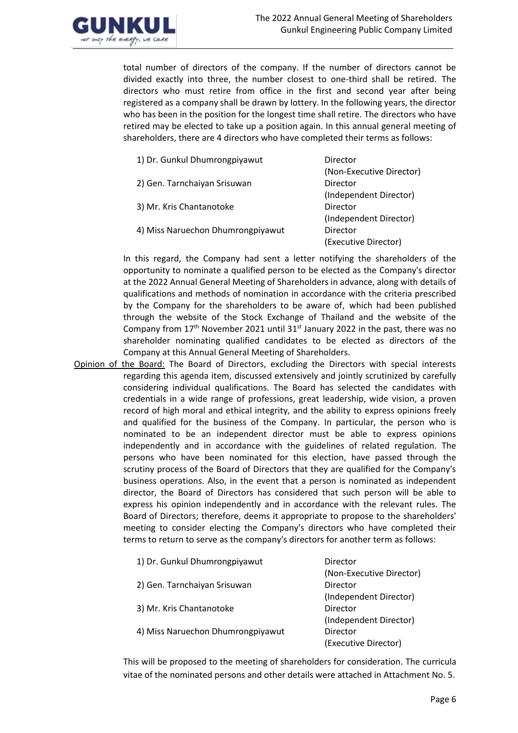

total number of directors of the company. If the number of directors cannot be divided exactly into three, the number closest to one-third shall be retired. The directors who must retire from office in the first and second year after being registered as a company shall be drawn by lottery. In the following years, the director who has been in the position for the longest time shall retire. The directors who have retired may be elected to take up a position again. In this annual general meeting of shareholders, there are 4 directors who have completed their terms as follows:

| 1) Dr. Gunkul Dhumrongpiyawut     | Director                 |
|-----------------------------------|--------------------------|
|                                   | (Non-Executive Director) |
| 2) Gen. Tarnchaiyan Srisuwan      | Director                 |
|                                   | (Independent Director)   |
| 3) Mr. Kris Chantanotoke          | Director                 |
|                                   | (Independent Director)   |
| 4) Miss Naruechon Dhumrongpiyawut | Director                 |
|                                   | (Executive Director)     |

In this regard, the Company had sent a letter notifying the shareholders of the opportunity to nominate a qualified person to be elected as the Company's director at the 2022 Annual General Meeting of Shareholders in advance, along with details of qualifications and methods of nomination in accordance with the criteria prescribed by the Company for the shareholders to be aware of, which had been published through the website of the Stock Exchange of Thailand and the website of the Company from 17<sup>th</sup> November 2021 until 31<sup>st</sup> January 2022 in the past, there was no shareholder nominating qualified candidates to be elected as directors of the Company at this Annual General Meeting of Shareholders.

Opinion of the Board: The Board of Directors, excluding the Directors with special interests regarding this agenda item, discussed extensively and jointly scrutinized by carefully considering individual qualifications. The Board has selected the candidates with credentials in a wide range of professions, great leadership, wide vision, a proven record of high moral and ethical integrity, and the ability to express opinions freely and qualified for the business of the Company. In particular, the person who is nominated to be an independent director must be able to express opinions independently and in accordance with the guidelines of related regulation. The persons who have been nominated for this election, have passed through the scrutiny process of the Board of Directors that they are qualified for the Company's business operations. Also, in the event that a person is nominated as independent director, the Board of Directors has considered that such person will be able to express his opinion independently and in accordance with the relevant rules. The Board of Directors; therefore, deems it appropriate to propose to the shareholders' meeting to consider electing the Company's directors who have completed their terms to return to serve as the company's directors for another term as follows:

| 1) Dr. Gunkul Dhumrongpiyawut     | Director                 |
|-----------------------------------|--------------------------|
|                                   | (Non-Executive Director) |
| 2) Gen. Tarnchaiyan Srisuwan      | Director                 |
|                                   | (Independent Director)   |
| 3) Mr. Kris Chantanotoke          | Director                 |
|                                   | (Independent Director)   |
| 4) Miss Naruechon Dhumrongpiyawut | Director                 |
|                                   | (Executive Director)     |

This will be proposed to the meeting of shareholders for consideration. The curricula vitae of the nominated persons and other details were attached in Attachment No. 5.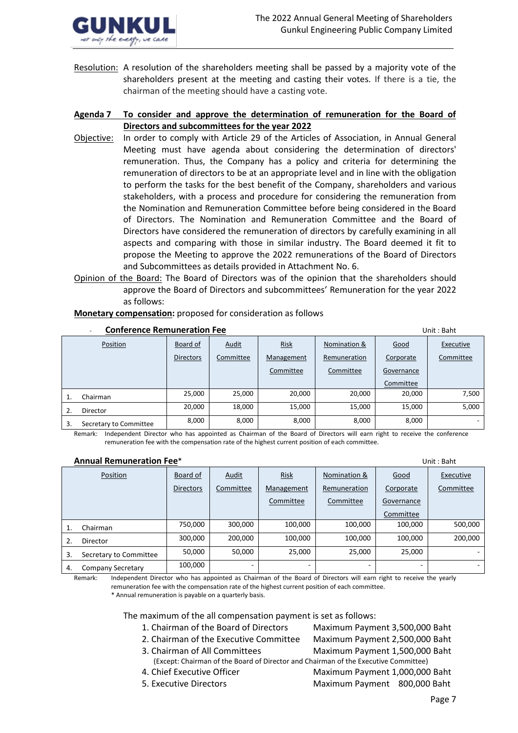

Resolution: A resolution of the shareholders meeting shall be passed by a majority vote of the shareholders present at the meeting and casting their votes. If there is a tie, the chairman of the meeting should have a casting vote.

# **Agenda 7 To consider and approve the determination of remuneration for the Board of Directors and subcommittees for the year 2022**

- Objective: In order to comply with Article 29 of the Articles of Association, in Annual General Meeting must have agenda about considering the determination of directors' remuneration. Thus, the Company has a policy and criteria for determining the remuneration of directors to be at an appropriate level and in line with the obligation to perform the tasks for the best benefit of the Company, shareholders and various stakeholders, with a process and procedure for considering the remuneration from the Nomination and Remuneration Committee before being considered in the Board of Directors. The Nomination and Remuneration Committee and the Board of Directors have considered the remuneration of directors by carefully examining in all aspects and comparing with those in similar industry. The Board deemed it fit to propose the Meeting to approve the 2022 remunerations of the Board of Directors and Subcommittees as details provided in Attachment No. 6.
- Opinion of the Board: The Board of Directors was of the opinion that the shareholders should approve the Board of Directors and subcommittees' Remuneration for the year 2022 as follows:

|    | <b>Conference Remuneration Fee</b> |                  |              |             |              |            | Unit: Baht |  |
|----|------------------------------------|------------------|--------------|-------------|--------------|------------|------------|--|
|    | Position                           | Board of         | <b>Audit</b> | <b>Risk</b> | Nomination & | Good       | Executive  |  |
|    |                                    | <b>Directors</b> | Committee    | Management  | Remuneration | Corporate  | Committee  |  |
|    |                                    |                  |              | Committee   | Committee    | Governance |            |  |
|    |                                    |                  |              |             |              | Committee  |            |  |
|    | Chairman                           | 25,000           | 25,000       | 20,000      | 20,000       | 20,000     | 7,500      |  |
| 2. | <b>Director</b>                    | 20,000           | 18,000       | 15,000      | 15,000       | 15,000     | 5,000      |  |
| 3. | Secretary to Committee             | 8,000            | 8,000        | 8,000       | 8,000        | 8,000      |            |  |

**Monetary compensation:** proposed for consideration as follows

Remark: Independent Director who has appointed as Chairman of the Board of Directors will earn right to receive the conference remuneration fee with the compensation rate of the highest current position of each committee.

#### **Annual Remuneration Fee**\*Unit : Baht

|    | Position                 | Board of         | Audit     | <b>Risk</b> | Nomination & | Good       | Executive |
|----|--------------------------|------------------|-----------|-------------|--------------|------------|-----------|
|    |                          | <b>Directors</b> | Committee | Management  | Remuneration | Corporate  | Committee |
|    |                          |                  |           | Committee   | Committee    | Governance |           |
|    |                          |                  |           |             |              | Committee  |           |
|    | Chairman                 | 750.000          | 300,000   | 100,000     | 100,000      | 100,000    | 500,000   |
| 2. | Director                 | 300.000          | 200,000   | 100,000     | 100,000      | 100.000    | 200,000   |
| 3. | Secretary to Committee   | 50.000           | 50,000    | 25,000      | 25,000       | 25,000     | ۰         |
| 4. | <b>Company Secretary</b> | 100,000          |           |             | -            |            | - 1       |

Remark: Independent Director who has appointed as Chairman of the Board of Directors will earn right to receive the yearly remuneration fee with the compensation rate of the highest current position of each committee. \* Annual remuneration is payable on a quarterly basis.

The maximum of the all compensation payment is set as follows:

- 1. Chairman of the Board of Directors Maximum Payment 3,500,000 Baht
	-
- 2. Chairman of the Executive Committee Maximum Payment 2,500,000 Baht
- 3. Chairman of All Committees Maximum Payment 1,500,000 Baht
- -
	- (Except: Chairman of the Board of Director and Chairman of the Executive Committee)
- 
- 

4. Chief Executive Officer Maximum Payment 1,000,000 Baht 5. Executive Directors Maximum Payment 800,000 Baht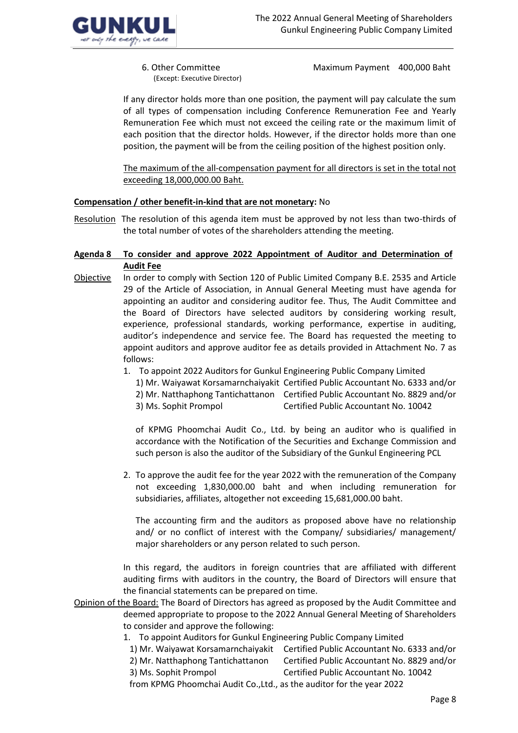

(Except: Executive Director)

6. Other Committee Maximum Payment 400,000 Baht

If any director holds more than one position, the payment will pay calculate the sum of all types of compensation including Conference Remuneration Fee and Yearly Remuneration Fee which must not exceed the ceiling rate or the maximum limit of each position that the director holds. However, if the director holds more than one position, the payment will be from the ceiling position of the highest position only.

The maximum of the all-compensation payment for all directors is set in the total not exceeding 18,000,000.00 Baht.

# **Compensation / other benefit-in-kind that are not monetary:** No

Resolution The resolution of this agenda item must be approved by not less than two-thirds of the total number of votes of the shareholders attending the meeting.

### **Agenda 8 To consider and approve 2022 Appointment of Auditor and Determination of Audit Fee**

- Objective In order to comply with Section 120 of Public Limited Company B.E. 2535 and Article 29 of the Article of Association, in Annual General Meeting must have agenda for appointing an auditor and considering auditor fee. Thus, The Audit Committee and the Board of Directors have selected auditors by considering working result, experience, professional standards, working performance, expertise in auditing, auditor's independence and service fee. The Board has requested the meeting to appoint auditors and approve auditor fee as details provided in Attachment No. 7 as follows:
	- 1. To appoint 2022 Auditors for Gunkul Engineering Public Company Limited
		- 1) Mr. Waiyawat Korsamarnchaiyakit Certified Public Accountant No. 6333 and/or
		- 2) Mr. Natthaphong Tantichattanon Certified Public Accountant No. 8829 and/or
		- 3) Ms. Sophit Prompol Certified Public Accountant No. 10042

of KPMG Phoomchai Audit Co., Ltd. by being an auditor who is qualified in accordance with the Notification of the Securities and Exchange Commission and such person is also the auditor of the Subsidiary of the Gunkul Engineering PCL

2. To approve the audit fee for the year 2022 with the remuneration of the Company not exceeding 1,830,000.00 baht and when including remuneration for subsidiaries, affiliates, altogether not exceeding 15,681,000.00 baht.

The accounting firm and the auditors as proposed above have no relationship and/ or no conflict of interest with the Company/ subsidiaries/ management/ major shareholders or any person related to such person.

In this regard, the auditors in foreign countries that are affiliated with different auditing firms with auditors in the country, the Board of Directors will ensure that the financial statements can be prepared on time.

- Opinion of the Board: The Board of Directors has agreed as proposed by the Audit Committee and deemed appropriate to propose to the 2022 Annual General Meeting of Shareholders to consider and approve the following:
	- 1. To appoint Auditors for Gunkul Engineering Public Company Limited
	- 1) Mr. Waiyawat Korsamarnchaiyakit Certified Public Accountant No. 6333 and/or
	- 2) Mr. Natthaphong Tantichattanon Certified Public Accountant No. 8829 and/or
	- 3) Ms. Sophit Prompol Certified Public Accountant No. 10042

from KPMG Phoomchai Audit Co.,Ltd., as the auditor for the year 2022